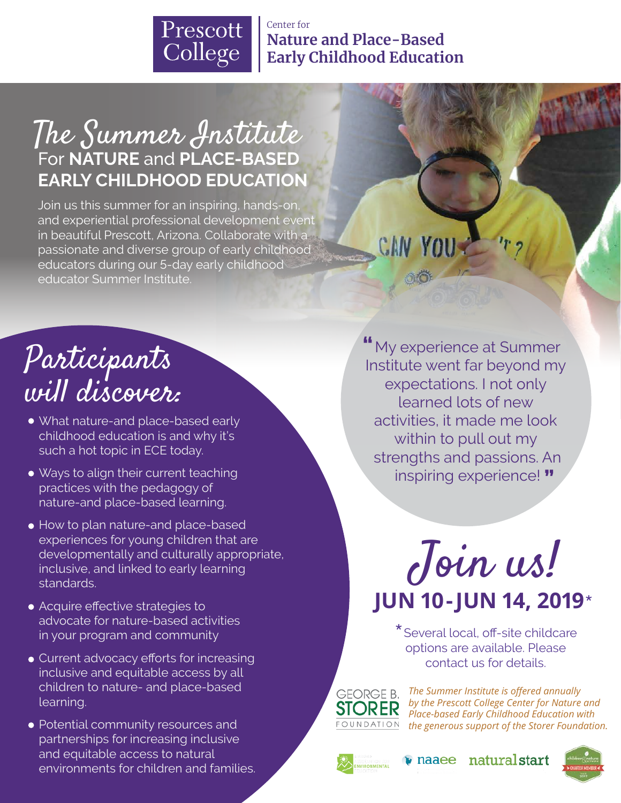

Center for **Nature and Place-Based Early Childhood Education**

### For **NATURE** and **PLACE-BASED EARLY CHILDHOOD EDUCATION** The Summer Institute

Join us this summer for an inspiring, hands-on, and experiential professional development event in beautiful Prescott, Arizona. Collaborate with a passionate and diverse group of early childhood educators during our 5-day early childhood educator Summer Institute.

## Participants will discover:

- What nature-and place-based early childhood education is and why it's such a hot topic in ECE today.
- Ways to align their current teaching practices with the pedagogy of nature-and place-based learning.
- How to plan nature-and place-based experiences for young children that are developmentally and culturally appropriate, inclusive, and linked to early learning standards.
- Acquire effective strategies to advocate for nature-based activities in your program and community
- Current advocacy efforts for increasing inclusive and equitable access by all children to nature- and place-based learning.
- Potential community resources and partnerships for increasing inclusive and equitable access to natural environments for children and families.

 My experience at Summer **"** Institute went far beyond my expectations. I not only learned lots of new activities, it made me look within to pull out my strengths and passions. An inspiring experience! **"**

CAN YOU-

Join us! **JUN 10-JUN 14, 2019**\*

\*Several local, off-site childcare options are available. Please contact us for details.

**GEORGE B. STORER** FOUNDATION

*The Summer Institute is offered annually by the Prescott College Center for Nature and Place-based Early Childhood Education with the generous support of the Storer Foundation.*

naturalstart



naaee